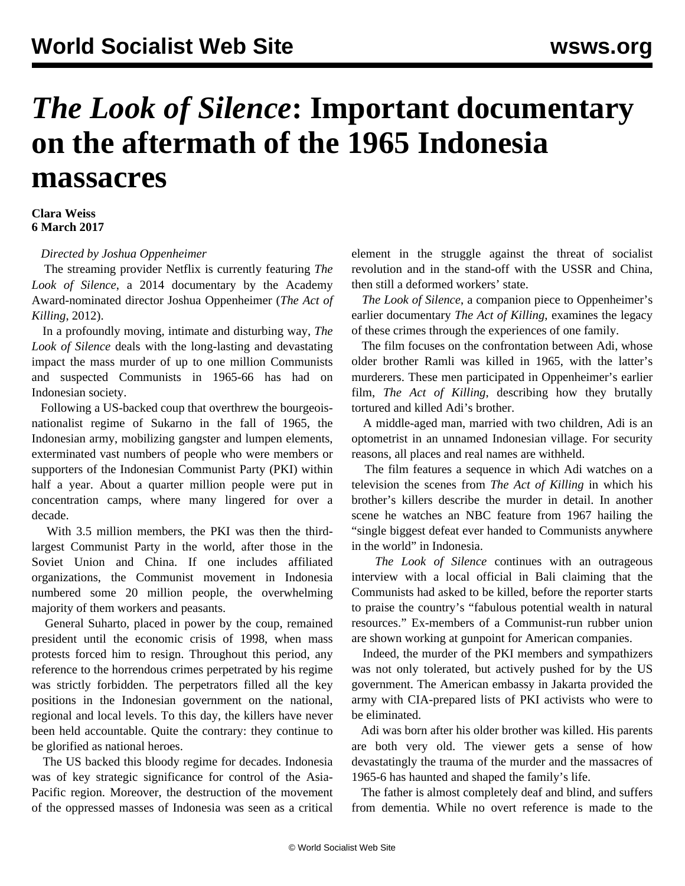## *The Look of Silence***: Important documentary on the aftermath of the 1965 Indonesia massacres**

## **Clara Weiss 6 March 2017**

*Directed by Joshua Oppenheimer*

 The streaming provider Netflix is currently featuring *The Look of Silence*, a 2014 documentary by the Academy Award-nominated director Joshua Oppenheimer (*[The Act of](/en/articles/2013/07/22/acto-j22.html) [Killing](/en/articles/2013/07/22/acto-j22.html)*, 2012).

 In a profoundly moving, intimate and disturbing way, *The Look of Silence* deals with the long-lasting and devastating impact the mass murder of up to one million Communists and suspected Communists in 1965-66 has had on Indonesian society.

 Following a US-backed coup that overthrew the bourgeoisnationalist regime of Sukarno in the fall of 1965, the Indonesian army, mobilizing gangster and lumpen elements, exterminated vast numbers of people who were members or supporters of the Indonesian Communist Party (PKI) within half a year. About a quarter million people were put in concentration camps, where many lingered for over a decade.

 With 3.5 million members, the PKI was then the thirdlargest Communist Party in the world, after those in the Soviet Union and China. If one includes affiliated organizations, the Communist movement in Indonesia numbered some 20 million people, the overwhelming majority of them workers and peasants.

 General Suharto, placed in power by the coup, remained president until the economic crisis of 1998, when mass protests forced him to resign. Throughout this period, any reference to the horrendous crimes perpetrated by his regime was strictly forbidden. The perpetrators filled all the key positions in the Indonesian government on the national, regional and local levels. To this day, the killers have never been held accountable. Quite the contrary: they continue to be glorified as national heroes.

 The US backed this bloody regime for decades. Indonesia was of key strategic significance for control of the Asia-Pacific region. Moreover, the destruction of the movement of the oppressed masses of Indonesia was seen as a critical

element in the struggle against the threat of socialist revolution and in the stand-off with the USSR and China, then still a deformed workers' state.

 *The Look of Silence*, a companion piece to Oppenheimer's earlier documentary *The Act of Killing*, examines the legacy of these crimes through the experiences of one family.

 The film focuses on the confrontation between Adi, whose older brother Ramli was killed in 1965, with the latter's murderers. These men participated in Oppenheimer's earlier film, *The Act of Killing*, describing how they brutally tortured and killed Adi's brother.

 A middle-aged man, married with two children, Adi is an optometrist in an unnamed Indonesian village. For security reasons, all places and real names are withheld.

 The film features a sequence in which Adi watches on a television the scenes from *The Act of Killing* in which his brother's killers describe the murder in detail. In another scene he watches an NBC feature from 1967 hailing the "single biggest defeat ever handed to Communists anywhere in the world" in Indonesia.

 *The Look of Silence* continues with an outrageous interview with a local official in Bali claiming that the Communists had asked to be killed, before the reporter starts to praise the country's "fabulous potential wealth in natural resources." Ex-members of a Communist-run rubber union are shown working at gunpoint for American companies.

 Indeed, the murder of the PKI members and sympathizers was not only tolerated, but actively pushed for by the US government. The American embassy in Jakarta provided the army with CIA-prepared lists of PKI activists who were to be eliminated.

 Adi was born after his older brother was killed. His parents are both very old. The viewer gets a sense of how devastatingly the trauma of the murder and the massacres of 1965-6 has haunted and shaped the family's life.

 The father is almost completely deaf and blind, and suffers from dementia. While no overt reference is made to the